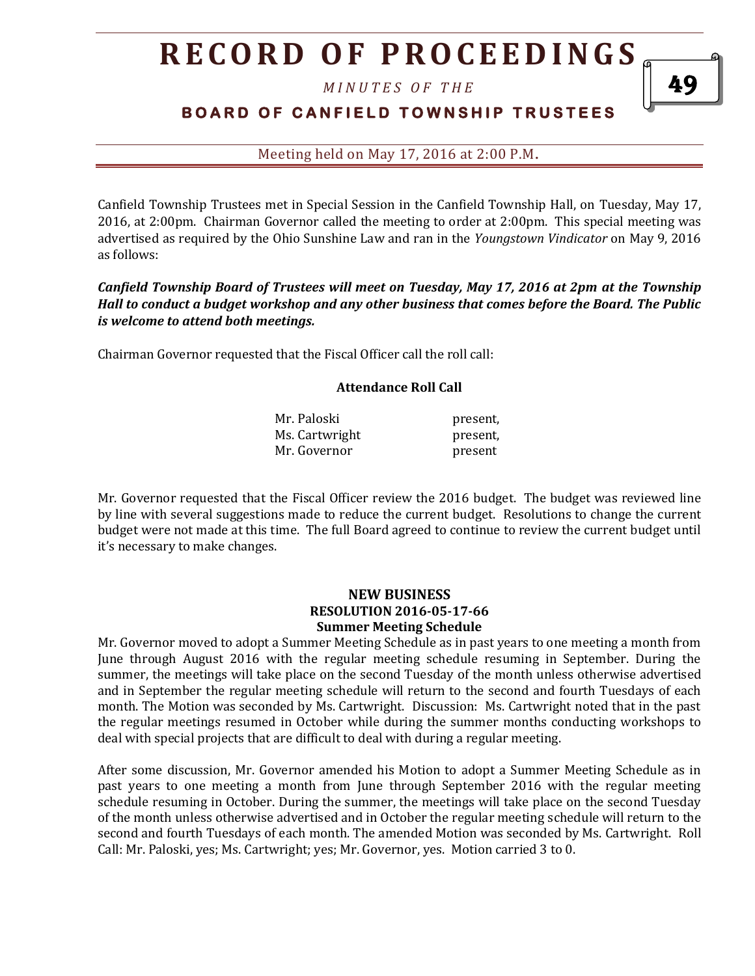*M I N U T E S O F T H E* 

## **BOARD OF CANFIELD TOWNSHIP TRUSTEES**

Meeting held on May 17, 2016 at 2:00 P.M**.**

Canfield Township Trustees met in Special Session in the Canfield Township Hall, on Tuesday, May 17, 2016, at 2:00pm. Chairman Governor called the meeting to order at 2:00pm. This special meeting was advertised as required by the Ohio Sunshine Law and ran in the *Youngstown Vindicator* on May 9, 2016 as follows:

*Canfield Township Board of Trustees will meet on Tuesday, May 17, 2016 at 2pm at the Township Hall to conduct a budget workshop and any other business that comes before the Board. The Public is welcome to attend both meetings.*

Chairman Governor requested that the Fiscal Officer call the roll call:

#### **Attendance Roll Call**

| Mr. Paloski    | present, |
|----------------|----------|
| Ms. Cartwright | present, |
| Mr. Governor   | present  |

Mr. Governor requested that the Fiscal Officer review the 2016 budget. The budget was reviewed line by line with several suggestions made to reduce the current budget. Resolutions to change the current budget were not made at this time. The full Board agreed to continue to review the current budget until it's necessary to make changes.

#### **NEW BUSINESS RESOLUTION 2016-05-17-66 Summer Meeting Schedule**

Mr. Governor moved to adopt a Summer Meeting Schedule as in past years to one meeting a month from June through August 2016 with the regular meeting schedule resuming in September. During the summer, the meetings will take place on the second Tuesday of the month unless otherwise advertised and in September the regular meeting schedule will return to the second and fourth Tuesdays of each month. The Motion was seconded by Ms. Cartwright. Discussion: Ms. Cartwright noted that in the past the regular meetings resumed in October while during the summer months conducting workshops to deal with special projects that are difficult to deal with during a regular meeting.

After some discussion, Mr. Governor amended his Motion to adopt a Summer Meeting Schedule as in past years to one meeting a month from June through September 2016 with the regular meeting schedule resuming in October. During the summer, the meetings will take place on the second Tuesday of the month unless otherwise advertised and in October the regular meeting schedule will return to the second and fourth Tuesdays of each month. The amended Motion was seconded by Ms. Cartwright. Roll Call: Mr. Paloski, yes; Ms. Cartwright; yes; Mr. Governor, yes. Motion carried 3 to 0.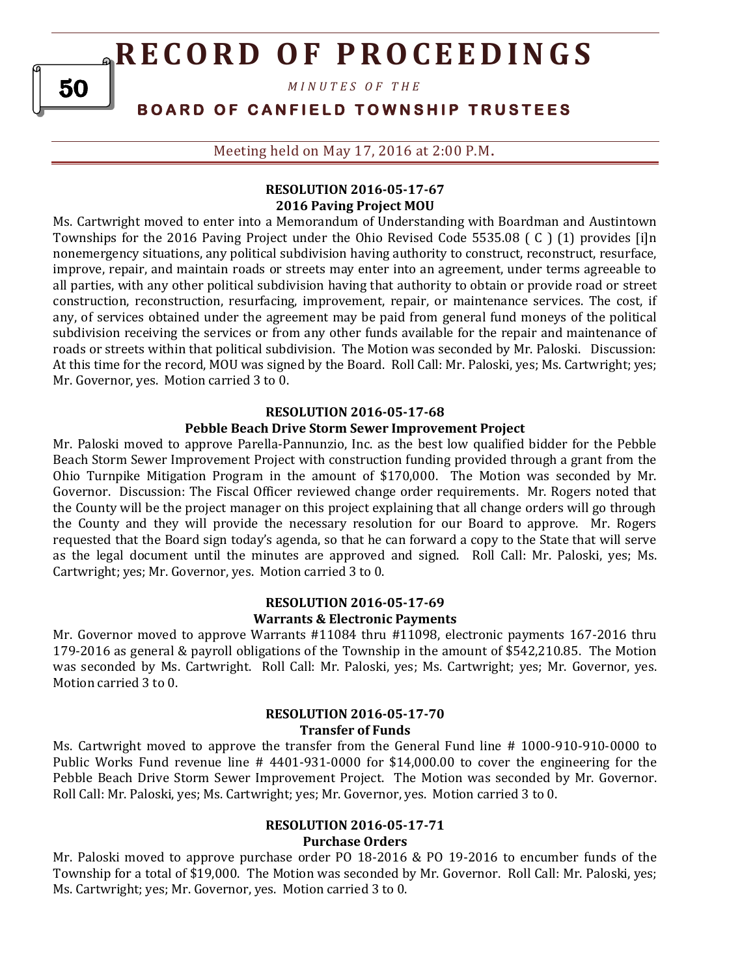*M I N U T E S O F T H E* 

### **B O A R D O F C A N F I E L D T O W N S H I P T R U S T E E S**

Meeting held on May 17, 2016 at 2:00 P.M**.**

### **RESOLUTION 2016-05-17-67 2016 Paving Project MOU**

Ms. Cartwright moved to enter into a Memorandum of Understanding with Boardman and Austintown Townships for the 2016 Paving Project under the Ohio Revised Code 5535.08 ( C ) (1) provides [i]n nonemergency situations, any political subdivision having authority to construct, reconstruct, resurface, improve, repair, and maintain roads or streets may enter into an agreement, under terms agreeable to all parties, with any other political subdivision having that authority to obtain or provide road or street construction, reconstruction, resurfacing, improvement, repair, or maintenance services. The cost, if any, of services obtained under the agreement may be paid from general fund moneys of the political subdivision receiving the services or from any other funds available for the repair and maintenance of roads or streets within that political subdivision. The Motion was seconded by Mr. Paloski. Discussion: At this time for the record, MOU was signed by the Board. Roll Call: Mr. Paloski, yes; Ms. Cartwright; yes; Mr. Governor, yes. Motion carried 3 to 0.

#### **RESOLUTION 2016-05-17-68**

#### **Pebble Beach Drive Storm Sewer Improvement Project**

Mr. Paloski moved to approve Parella-Pannunzio, Inc. as the best low qualified bidder for the Pebble Beach Storm Sewer Improvement Project with construction funding provided through a grant from the Ohio Turnpike Mitigation Program in the amount of \$170,000. The Motion was seconded by Mr. Governor. Discussion: The Fiscal Officer reviewed change order requirements. Mr. Rogers noted that the County will be the project manager on this project explaining that all change orders will go through the County and they will provide the necessary resolution for our Board to approve. Mr. Rogers requested that the Board sign today's agenda, so that he can forward a copy to the State that will serve as the legal document until the minutes are approved and signed. Roll Call: Mr. Paloski, yes; Ms. Cartwright; yes; Mr. Governor, yes. Motion carried 3 to 0.

#### **RESOLUTION 2016-05-17-69 Warrants & Electronic Payments**

Mr. Governor moved to approve Warrants #11084 thru #11098, electronic payments 167-2016 thru 179-2016 as general & payroll obligations of the Township in the amount of \$542,210.85. The Motion was seconded by Ms. Cartwright. Roll Call: Mr. Paloski, yes; Ms. Cartwright; yes; Mr. Governor, yes. Motion carried 3 to 0.

#### **RESOLUTION 2016-05-17-70 Transfer of Funds**

Ms. Cartwright moved to approve the transfer from the General Fund line # 1000-910-910-0000 to Public Works Fund revenue line # 4401-931-0000 for \$14,000.00 to cover the engineering for the Pebble Beach Drive Storm Sewer Improvement Project. The Motion was seconded by Mr. Governor. Roll Call: Mr. Paloski, yes; Ms. Cartwright; yes; Mr. Governor, yes. Motion carried 3 to 0.

### **RESOLUTION 2016-05-17-71 Purchase Orders**

Mr. Paloski moved to approve purchase order PO 18-2016 & PO 19-2016 to encumber funds of the Township for a total of \$19,000. The Motion was seconded by Mr. Governor. Roll Call: Mr. Paloski, yes; Ms. Cartwright; yes; Mr. Governor, yes. Motion carried 3 to 0.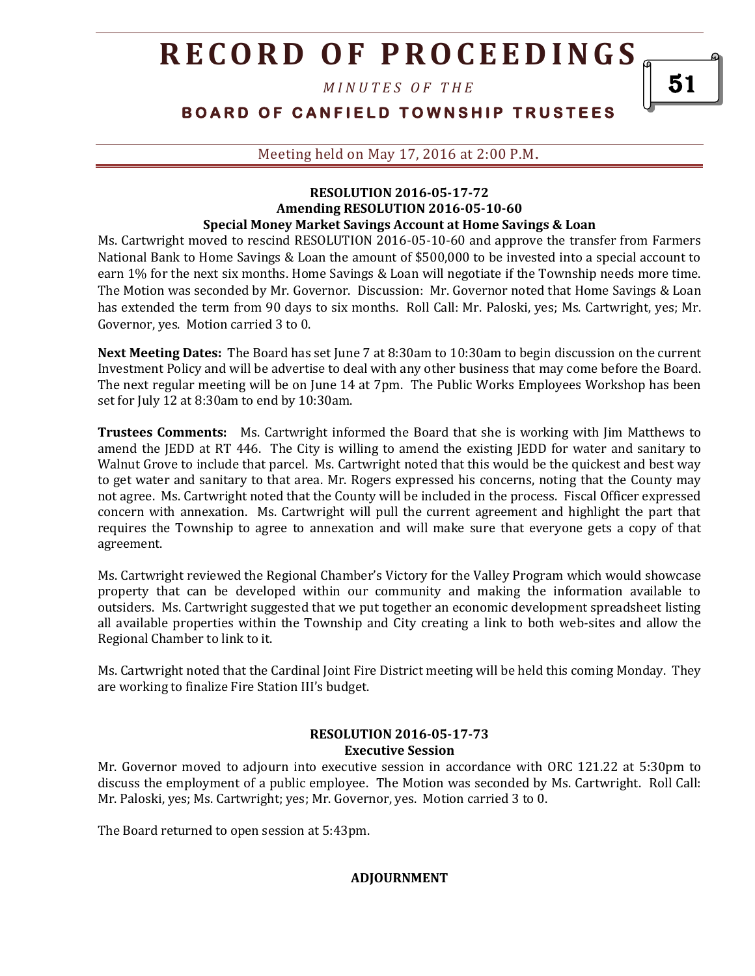*M I N U T E S O F T H E* 

### **B O A R D O F C A N F I E L D T O W N S H I P T R U S T E E S**

Meeting held on May 17, 2016 at 2:00 P.M**.**

#### **RESOLUTION 2016-05-17-72 Amending RESOLUTION 2016-05-10-60 Special Money Market Savings Account at Home Savings & Loan**

Ms. Cartwright moved to rescind RESOLUTION 2016-05-10-60 and approve the transfer from Farmers National Bank to Home Savings & Loan the amount of \$500,000 to be invested into a special account to earn 1% for the next six months. Home Savings & Loan will negotiate if the Township needs more time. The Motion was seconded by Mr. Governor. Discussion: Mr. Governor noted that Home Savings & Loan has extended the term from 90 days to six months. Roll Call: Mr. Paloski, yes; Ms. Cartwright, yes; Mr. Governor, yes. Motion carried 3 to 0.

**Next Meeting Dates:** The Board has set June 7 at 8:30am to 10:30am to begin discussion on the current Investment Policy and will be advertise to deal with any other business that may come before the Board. The next regular meeting will be on June 14 at 7pm. The Public Works Employees Workshop has been set for July 12 at 8:30am to end by 10:30am.

**Trustees Comments:** Ms. Cartwright informed the Board that she is working with Jim Matthews to amend the JEDD at RT 446. The City is willing to amend the existing JEDD for water and sanitary to Walnut Grove to include that parcel. Ms. Cartwright noted that this would be the quickest and best way to get water and sanitary to that area. Mr. Rogers expressed his concerns, noting that the County may not agree. Ms. Cartwright noted that the County will be included in the process. Fiscal Officer expressed concern with annexation. Ms. Cartwright will pull the current agreement and highlight the part that requires the Township to agree to annexation and will make sure that everyone gets a copy of that agreement.

Ms. Cartwright reviewed the Regional Chamber's Victory for the Valley Program which would showcase property that can be developed within our community and making the information available to outsiders. Ms. Cartwright suggested that we put together an economic development spreadsheet listing all available properties within the Township and City creating a link to both web-sites and allow the Regional Chamber to link to it.

Ms. Cartwright noted that the Cardinal Joint Fire District meeting will be held this coming Monday. They are working to finalize Fire Station III's budget.

#### **RESOLUTION 2016-05-17-73 Executive Session**

Mr. Governor moved to adjourn into executive session in accordance with ORC 121.22 at 5:30pm to discuss the employment of a public employee. The Motion was seconded by Ms. Cartwright. Roll Call: Mr. Paloski, yes; Ms. Cartwright; yes; Mr. Governor, yes. Motion carried 3 to 0.

The Board returned to open session at 5:43pm.

**ADJOURNMENT**